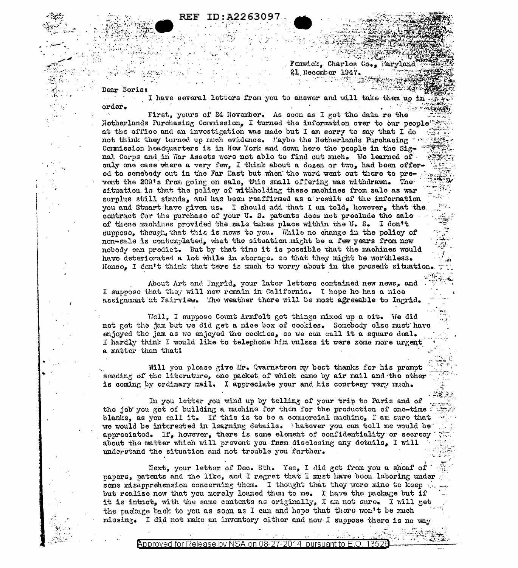## ID:A2263097. REF

Fenwick. Charles Co., Maryland 21 December 1947. - 1000.000 원화장 수학

Dear Boris

 $\mu \sim 2$ 

order.

I have several letters from you to answer and will take them up in

First, yours of 24 November. As soon as I got the data re the Notherlands Purchasing Commission, I turned the information over to our people at the office and an investigation was made but I am sorry to say that I do not think they turned up much evidence. Laybe the Netherlands Purchasing Commission headquarters is in New York and down here the people in the Signal Corps and in War Assets were not able to find out much. We learned of . only one case where a very few, I think about a dozen or two, had been offered to somebody out in the Far East but when the word went out there to prevent the 209's from going on sale, this small offering was withdrawn. The situation is that the policy of withholding these machines from sale as war surplus still stands, and has been reaffirmed as a result of the information you and Stuart have given us. I should add that I am told, however, that the contract for the purchase of your U.S. patents does not preclude the sale of these machines provided the sale takes place within the U. S. I don't suppose, though, that this is nows to you. While no change in the policy of non-sale is contemplated, what the situation might be a few years from now nobody can predict. But by that time it is possible that the machines would have deteriorated a lot while in storage. so that they might be worthless. Hence. I don't think that tere is much to worry about in the present situation.

About Art and Ingrid, your later letters contained new news, and I suppose that they will now remain in California. I hope he has a nice assignment at Fairview. The weather there will be most agreeable to Ingrid.

Well, I suppose Count Armfelt got things mixed up a bit. We did not get the jam but we did get a nice box of cookies. Somebody clse must have enjoyed the jam as we enjoyed the cookies, so we can call it a square deal. I hardly think I would like to telephone him unless it were some nore urgent a matter than that!

Will you please give Mr. Qvarnstrom my best thanks for his prompt sending of the literature, one packet of which came by air mail and the other is coming by ordinary mail. I appreciate your and his courtesy very much.

In you letter you wind up by telling of your trip to Paris and of the job you got of building a machine for them for the production of cno-time blanks, as you call it. If this is to be a commercial muchino, I am sure that we would be interested in learning details. Thatever you can tell me would be appreciated. If, however, there is some element of confidentiality or secrecy about the matter which will prevent you from disclosing any details, I will understand the situation and not trouble you further.

Next, your letter of Dec. 8th. Yes, I did get from you a sheaf of papers, patents and the like, and I regret that I must have boom laboring under some misapprehension concerning them. I thought that they wore mine to keep but realize now that you merely loaned them to me. I have the package but if it is intact, with the same contents as originally, I am not sure. I will get the package back to you as soon as I can and hope that there won't be much missing. I did not make an inventory either and now I suppose there is no way